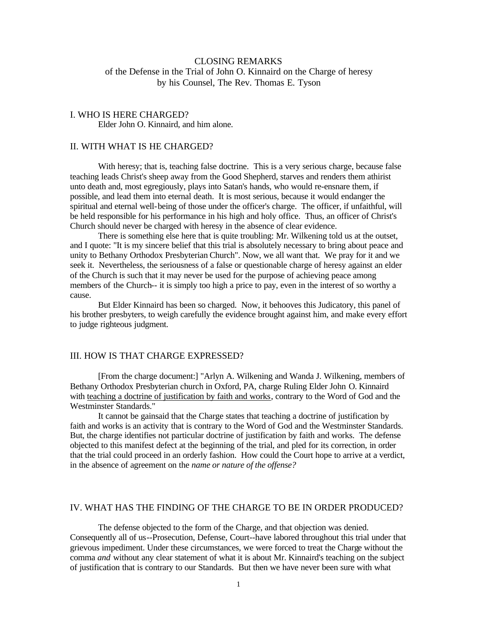# CLOSING REMARKS of the Defense in the Trial of John O. Kinnaird on the Charge of heresy by his Counsel, The Rev. Thomas E. Tyson

#### I. WHO IS HERE CHARGED? Elder John O. Kinnaird, and him alone.

#### II. WITH WHAT IS HE CHARGED?

With heresy; that is, teaching false doctrine. This is a very serious charge, because false teaching leads Christ's sheep away from the Good Shepherd, starves and renders them athirist unto death and, most egregiously, plays into Satan's hands, who would re-ensnare them, if possible, and lead them into eternal death. It is most serious, because it would endanger the spiritual and eternal well-being of those under the officer's charge. The officer, if unfaithful, will be held responsible for his performance in his high and holy office. Thus, an officer of Christ's Church should never be charged with heresy in the absence of clear evidence.

There is something else here that is quite troubling: Mr. Wilkening told us at the outset, and I quote: "It is my sincere belief that this trial is absolutely necessary to bring about peace and unity to Bethany Orthodox Presbyterian Church". Now, we all want that. We pray for it and we seek it. Nevertheless, the seriousness of a false or questionable charge of heresy against an elder of the Church is such that it may never be used for the purpose of achieving peace among members of the Church-- it is simply too high a price to pay, even in the interest of so worthy a cause.

But Elder Kinnaird has been so charged. Now, it behooves this Judicatory, this panel of his brother presbyters, to weigh carefully the evidence brought against him, and make every effort to judge righteous judgment.

#### III. HOW IS THAT CHARGE EXPRESSED?

[From the charge document:] "Arlyn A. Wilkening and Wanda J. Wilkening, members of Bethany Orthodox Presbyterian church in Oxford, PA, charge Ruling Elder John O. Kinnaird with teaching a doctrine of justification by faith and works, contrary to the Word of God and the Westminster Standards."

It cannot be gainsaid that the Charge states that teaching a doctrine of justification by faith and works is an activity that is contrary to the Word of God and the Westminster Standards. But, the charge identifies not particular doctrine of justification by faith and works. The defense objected to this manifest defect at the beginning of the trial, and pled for its correction, in order that the trial could proceed in an orderly fashion. How could the Court hope to arrive at a verdict, in the absence of agreement on the *name or nature of the offense?*

## IV. WHAT HAS THE FINDING OF THE CHARGE TO BE IN ORDER PRODUCED?

The defense objected to the form of the Charge, and that objection was denied. Consequently all of us--Prosecution, Defense, Court--have labored throughout this trial under that grievous impediment. Under these circumstances, we were forced to treat the Charge without the comma *and* without any clear statement of what it is about Mr. Kinnaird's teaching on the subject of justification that is contrary to our Standards. But then we have never been sure with what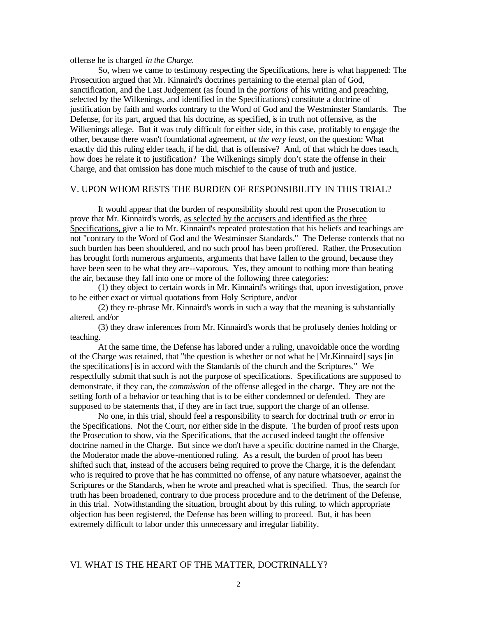offense he is charged *in the Charge.*

So, when we came to testimony respecting the Specifications, here is what happened: The Prosecution argued that Mr. Kinnaird's doctrines pertaining to the eternal plan of God, sanctification, and the Last Judgement (as found in the *portions* of his writing and preaching, selected by the Wilkenings, and identified in the Specifications) constitute a doctrine of justification by faith and works contrary to the Word of God and the Westminster Standards. The Defense, for its part, argued that his doctrine, as specified, is in truth not offensive, as the Wilkenings allege. But it was truly difficult for either side, in this case, profitably to engage the other, because there wasn't foundational agreement, *at the very least,* on the question: What exactly did this ruling elder teach, if he did, that is offensive? And, of that which he does teach, how does he relate it to justification? The Wilkenings simply don't state the offense in their Charge, and that omission has done much mischief to the cause of truth and justice.

#### V. UPON WHOM RESTS THE BURDEN OF RESPONSIBILITY IN THIS TRIAL?

It would appear that the burden of responsibility should rest upon the Prosecution to prove that Mr. Kinnaird's words, as selected by the accusers and identified as the three Specifications, give a lie to Mr. Kinnaird's repeated protestation that his beliefs and teachings are not "contrary to the Word of God and the Westminster Standards." The Defense contends that no such burden has been shouldered, and no such proof has been proffered. Rather, the Prosecution has brought forth numerous arguments, arguments that have fallen to the ground, because they have been seen to be what they are--vaporous. Yes, they amount to nothing more than beating the air, because they fall into one or more of the following three categories:

(1) they object to certain words in Mr. Kinnaird's writings that, upon investigation, prove to be either exact or virtual quotations from Holy Scripture, and/or

(2) they re-phrase Mr. Kinnaird's words in such a way that the meaning is substantially altered, and/or

(3) they draw inferences from Mr. Kinnaird's words that he profusely denies holding or teaching.

At the same time, the Defense has labored under a ruling, unavoidable once the wording of the Charge was retained, that "the question is whether or not what he [Mr.Kinnaird] says [in the specifications] is in accord with the Standards of the church and the Scriptures." We respectfully submit that such is not the purpose of specifications. Specifications are supposed to demonstrate, if they can, the *commission* of the offense alleged in the charge. They are not the setting forth of a behavior or teaching that is to be either condemned or defended. They are supposed to be statements that, if they are in fact true, support the charge of an offense.

No one, in this trial, should feel a responsibility to search for doctrinal truth *or* error in the Specifications. Not the Court, nor either side in the dispute. The burden of proof rests upon the Prosecution to show, via the Specifications, that the accused indeed taught the offensive doctrine named in the Charge. But since we don't have a specific doctrine named in the Charge, the Moderator made the above-mentioned ruling. As a result, the burden of proof has been shifted such that, instead of the accusers being required to prove the Charge, it is the defendant who is required to prove that he has committed no offense, of any nature whatsoever, against the Scriptures or the Standards, when he wrote and preached what is specified. Thus, the search for truth has been broadened, contrary to due process procedure and to the detriment of the Defense, in this trial. Notwithstanding the situation, brought about by this ruling, to which appropriate objection has been registered, the Defense has been willing to proceed. But, it has been extremely difficult to labor under this unnecessary and irregular liability.

### VI. WHAT IS THE HEART OF THE MATTER, DOCTRINALLY?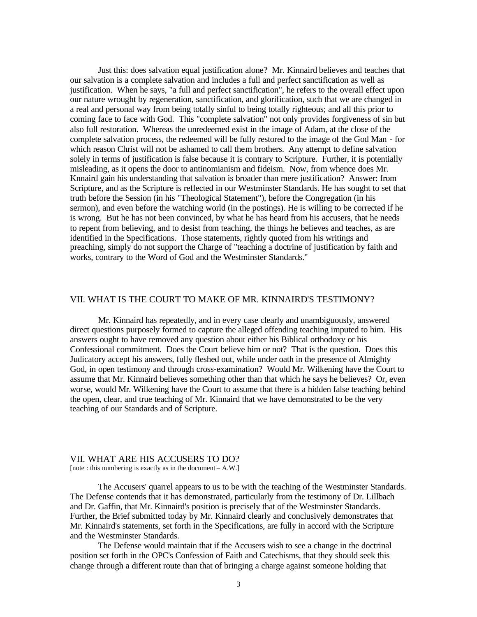Just this: does salvation equal justification alone? Mr. Kinnaird believes and teaches that our salvation is a complete salvation and includes a full and perfect sanctification as well as justification. When he says, "a full and perfect sanctification", he refers to the overall effect upon our nature wrought by regeneration, sanctification, and glorification, such that we are changed in a real and personal way from being totally sinful to being totally righteous; and all this prior to coming face to face with God. This "complete salvation" not only provides forgiveness of sin but also full restoration. Whereas the unredeemed exist in the image of Adam, at the close of the complete salvation process, the redeemed will be fully restored to the image of the God Man - for which reason Christ will not be ashamed to call them brothers. Any attempt to define salvation solely in terms of justification is false because it is contrary to Scripture. Further, it is potentially misleading, as it opens the door to antinomianism and fideism. Now, from whence does Mr. Knnaird gain his understanding that salvation is broader than mere justification? Answer: from Scripture, and as the Scripture is reflected in our Westminster Standards. He has sought to set that truth before the Session (in his "Theological Statement"), before the Congregation (in his sermon), and even before the watching world (in the postings). He is willing to be corrected if he is wrong. But he has not been convinced, by what he has heard from his accusers, that he needs to repent from believing, and to desist from teaching, the things he believes and teaches, as are identified in the Specifications. Those statements, rightly quoted from his writings and preaching, simply do not support the Charge of "teaching a doctrine of justification by faith and works, contrary to the Word of God and the Westminster Standards."

### VII. WHAT IS THE COURT TO MAKE OF MR. KINNAIRD'S TESTIMONY?

Mr. Kinnaird has repeatedly, and in every case clearly and unambiguously, answered direct questions purposely formed to capture the alleged offending teaching imputed to him. His answers ought to have removed any question about either his Biblical orthodoxy or his Confessional commitment. Does the Court believe him or not? That is the question. Does this Judicatory accept his answers, fully fleshed out, while under oath in the presence of Almighty God, in open testimony and through cross-examination? Would Mr. Wilkening have the Court to assume that Mr. Kinnaird believes something other than that which he says he believes? Or, even worse, would Mr. Wilkening have the Court to assume that there is a hidden false teaching behind the open, clear, and true teaching of Mr. Kinnaird that we have demonstrated to be the very teaching of our Standards and of Scripture.

#### VII. WHAT ARE HIS ACCUSERS TO DO? [note : this numbering is exactly as in the document – A.W.]

The Accusers' quarrel appears to us to be with the teaching of the Westminster Standards. The Defense contends that it has demonstrated, particularly from the testimony of Dr. Lillbach and Dr. Gaffin, that Mr. Kinnaird's position is precisely that of the Westminster Standards. Further, the Brief submitted today by Mr. Kinnaird clearly and conclusively demonstrates that Mr. Kinnaird's statements, set forth in the Specifications, are fully in accord with the Scripture and the Westminster Standards.

The Defense would maintain that if the Accusers wish to see a change in the doctrinal position set forth in the OPC's Confession of Faith and Catechisms, that they should seek this change through a different route than that of bringing a charge against someone holding that